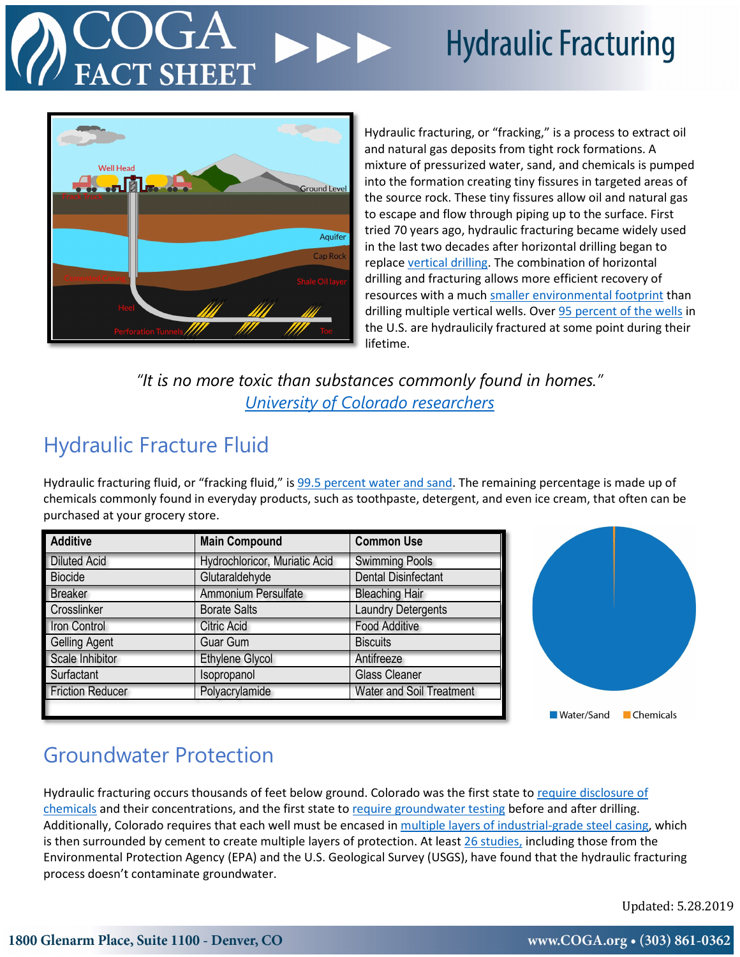# **Hydraulic Fracturing**



Hydraulic fracturing, or "fracking," is a process to extract oil and natural gas deposits from tight rock formations. A mixture of pressurized water, sand, and chemicals is pumped into the formation creating tiny fissures in targeted areas of the source rock. These tiny fissures allow oil and natural gas to escape and flow through piping up to the surface. First tried 70 years ago, hydraulic fracturing became widely used in the last two decades after horizontal drilling began to replac[e vertical drilling.](https://www.usgs.gov/faqs/when-did-hydraulic-fracturing-become-such-a-popular-approach-oil-and-gas-production?qt-3%20news_science_products=0&qt-news_science_products) The combination of horizontal drilling and fracturing allows more efficient recovery of resources with a much [smaller environmental footprint](http://www.energy.gov/sites/prod/files/2013/04/f0/shale_gas_challenges_surface_impacts.pdf) than drilling multiple vertical wells. Over 95 percent [of the wells](http://energy.gov/sites/prod/files/2013/04/f0/how_is_shale_gas_produced.pdf) in the U.S. are hydraulicily fractured at some point during their lifetime.

*"It is no more toxic than substances commonly found in homes." [University of Colorado researchers](https://www.colorado.edu/today/2014/11/12/major-class-fracking-chemicals-no-more-toxic-common-household-substances)*

### Hydraulic Fracture Fluid

Hydraulic fracturing fluid, or "fracking fluid," is [99.5 percent water and sand.](https://fracfocus.org/hydraulic-fracturing-how-it-works/hydraulic-fracturing-process) The remaining percentage is made up of chemicals commonly found in everyday products, such as toothpaste, detergent, and even ice cream, that often can be purchased at your grocery store.

| <b>Additive</b>         | <b>Main Compound</b>          | <b>Common Use</b>               |
|-------------------------|-------------------------------|---------------------------------|
| <b>Diluted Acid</b>     | Hydrochloricor, Muriatic Acid | <b>Swimming Pools</b>           |
| <b>Biocide</b>          | Glutaraldehyde                | <b>Dental Disinfectant</b>      |
| <b>Breaker</b>          | Ammonium Persulfate           | <b>Bleaching Hair</b>           |
| Crosslinker             | <b>Borate Salts</b>           | <b>Laundry Detergents</b>       |
| Iron Control            | <b>Citric Acid</b>            | <b>Food Additive</b>            |
| <b>Gelling Agent</b>    | <b>Guar Gum</b>               | <b>Biscuits</b>                 |
| Scale Inhibitor         | <b>Ethylene Glycol</b>        | Antifreeze                      |
| Surfactant              | Isopropanol                   | <b>Glass Cleaner</b>            |
| <b>Friction Reducer</b> | Polyacrylamide                | <b>Water and Soil Treatment</b> |
|                         |                               |                                 |



### Groundwater Protection

Hydraulic fracturing occurs thousands of feet below ground. Colorado was the first state t[o require disclosure of](http://www.denverpost.com/2011/12/13/colorado-requires-disclosure-of-fracking-chemicals/)  [chemicals](http://www.denverpost.com/2011/12/13/colorado-requires-disclosure-of-fracking-chemicals/) and their concentrations, and the first state t[o require groundwater testing](https://www.ncbi.nlm.nih.gov/pubmed/29442185) before and after drilling. Additionally, Colorado requires that each well must be encased i[n multiple layers of industrial-grade steel casing,](https://cogcc.state.co.us/documents/library/Technical/Public_Health_Safety_and_Welfare/Hydraulic_Fracturing/HydraulicFracturingInfoSheet.pdf) which is then surrounded by cement to create multiple layers of protection. At least [26 studies,](http://www.cred.org/scientists-fracking-doesnt-harm-water/) including those from the Environmental Protection Agency (EPA) and the U.S. Geological Survey (USGS), have found that the hydraulic fracturing process doesn't contaminate groundwater.

Updated: 5.28.2019